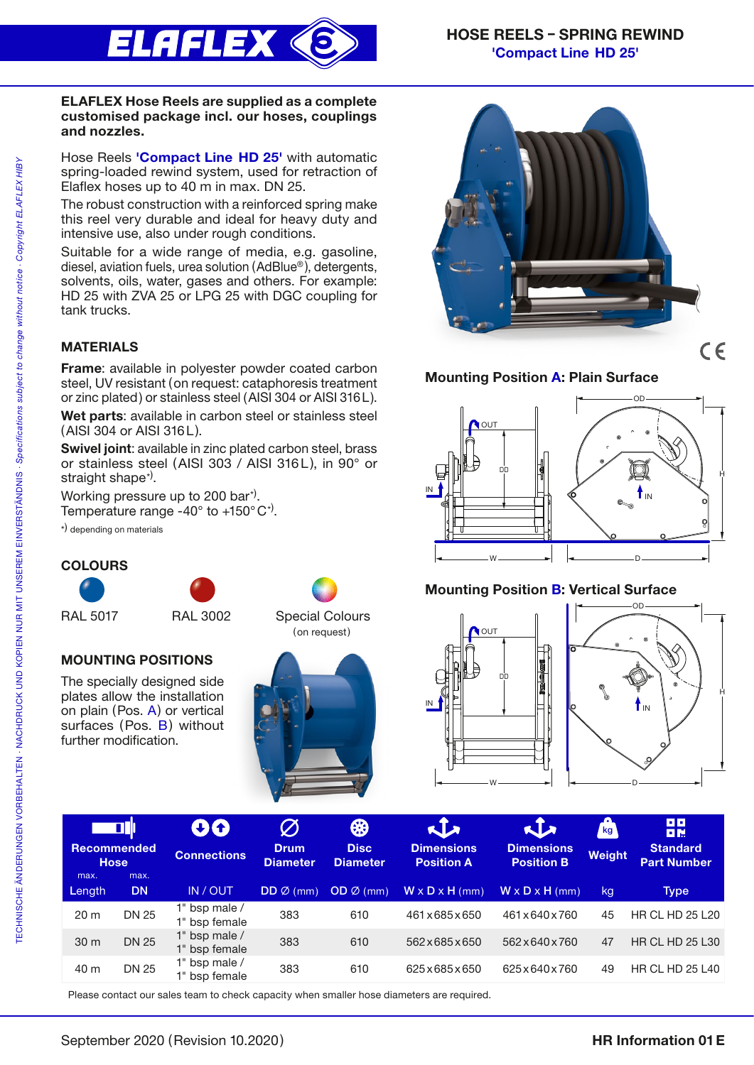

### ELAFLEX Hose Reels are supplied as a complete customised package incl. our hoses, couplings and nozzles.

Hose Reels 'Compact Line HD 25' with automatic spring-loaded rewind system, used for retraction of Elaflex hoses up to 40 m in max. DN 25.

The robust construction with a reinforced spring make this reel very durable and ideal for heavy duty and intensive use, also under rough conditions.

Suitable for a wide range of media, e.g. gasoline, diesel, aviation fuels, urea solution (AdBlue® ), detergents, solvents, oils, water, gases and others. For example: HD 25 with ZVA 25 or LPG 25 with DGC coupling for tank trucks.

# MATERIALS

Frame: available in polyester powder coated carbon steel, UV resistant (on request: cataphoresis treatment or zinc plated) or stainless steel (AISI 304 or AISI 316L).

Wet parts: available in carbon steel or stainless steel (AISI 304 or AISI 316L).

Swivel joint: available in zinc plated carbon steel, brass or stainless steel (AISI 303 / AISI 316L), in 90° or straight shape\*<sup>)</sup>.

Working pressure up to 200 bar<sup>\*)</sup>.

Temperature range -40 $^{\circ}$  to +150 $^{\circ}$ C<sup>\*</sup>).

\*) depending on materials

MOUNTING POSITIONS The specially designed side plates allow the installation on plain (Pos. A) or vertical surfaces (Pos. B) without

further modification.

# **COLOURS**











# Mounting Position A: Plain Surface



# Mounting Position B: Vertical Surface





| <b>or</b>                         |              | 00                             | $\varnothing$                  | ₩                              | $\sqrt{2}$                             | $\mathbf{t}$                           | Δ<br>kg <sub>1</sub> | <b>DD</b><br>日間                       |
|-----------------------------------|--------------|--------------------------------|--------------------------------|--------------------------------|----------------------------------------|----------------------------------------|----------------------|---------------------------------------|
| <b>Recommended</b><br><b>Hose</b> |              | <b>Connections</b>             | <b>Drum</b><br><b>Diameter</b> | <b>Disc</b><br><b>Diameter</b> | <b>Dimensions</b><br><b>Position A</b> | <b>Dimensions</b><br><b>Position B</b> | <b>Weight</b>        | <b>Standard</b><br><b>Part Number</b> |
| max.                              | max.         |                                |                                |                                |                                        |                                        |                      |                                       |
| Length                            | <b>DN</b>    | IN / OUT                       | $DD \oslash (mm)$              | $OD \varnothing$ (mm)          | $W \times D \times H$ (mm)             | $W \times D \times H$ (mm)             | kg                   | Type                                  |
| 20 <sub>m</sub>                   | <b>DN 25</b> | 1" bsp male /<br>1" bsp female | 383                            | 610                            | 461x685x650                            | 461 x 640 x 760                        | 45                   | <b>HR CL HD 25 L20</b>                |
| 30 m                              | <b>DN 25</b> | 1" bsp male /<br>1" bsp female | 383                            | 610                            | 562×685×650                            | 562 x 640 x 760                        | 47                   | <b>HR CL HD 25 L30</b>                |
| 40 m                              | <b>DN 25</b> | 1" bsp male /<br>1" bsp female | 383                            | 610                            | 625x685x650                            | 625x640x760                            | 49                   | <b>HR CL HD 25 L40</b>                |

Please contact our sales team to check capacity when smaller hose diameters are required.